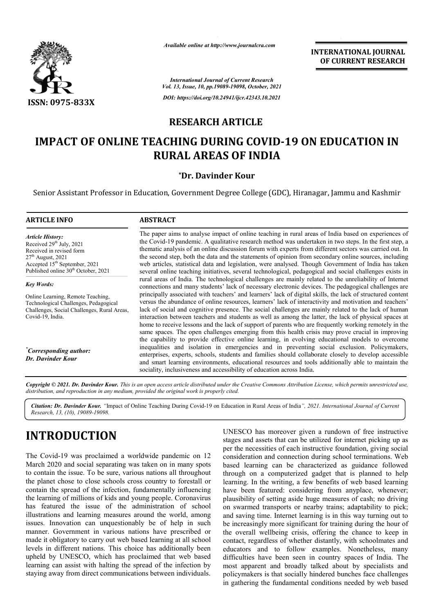

*Available online at http://www.journalcra.com*

**INTERNATIONAL JOURNAL OF CURRENT RESEARCH**

*International Journal of Current Research Vol. 13, Issue, 10, pp.19089-19098, October, 2021 DOI: https://doi.org/10.24941/ijcr.42343.10.2021*

## **RESEARCH ARTICLE**

# **IMPACT OF ONLINE TEACHING DURING COVID-19 ON EDUCATION IN RURAL AREAS OF INDIA**

### **\*Dr. Davinder Kour**

Senior Assistant Professor in Education, Government Degree College (GDC), Hiranagar, Jammu and Kashmir

### **ARTICLE INFO ABSTRACT**

*Article History: Article History:* Received  $29<sup>th</sup>$  July,  $2021$ Received in revised form Received in revised form Received in revised form  $27<sup>th</sup>$  August, 2021 Accepted 15<sup>th</sup> September, 2021 Published online 30<sup>th</sup> October, 2021

*Key Words:*

Online Learning, Remote Teaching, Technological Challenges, Pedagogical Challenges, Social Challenges, Rural Areas, Covid-19, India.

*\* Corresponding author: Dr. Davinder Kour*

The paper aims to analyse impact of online teaching in rural areas of India based on experiences of the Covid Covid-19 pandemic. A qualitative research method was undertaken in two steps. In the first step, a thematic analysis of an online discussion forum with experts from different sectors was carried out. In the second step, both the data and the statements of opinion from secondary online sources, including web articles, statistical data and legislation, were analysed. Though Government of India has taken several online teaching initiatives, several technological, pedagogical and social challenges exists in rural areas of India. The technological challenges are mainly related to the unreliability of Internet connections and many students' lack of necessary electronic devices. The pedagogical challenges are princip principally associated with teachers' and learners' lack of digital skills, the lack of structured content versus the abundance of online resources, learners' lack of interactivity and motivation and teachers' lack of social and cognitive presence. The social challenges are mainly related to the lack of human interaction between teachers and students as well as among the latter, the lack of physical spaces at home to receive lessons and the lack of support of parents who are frequently working remotely in the same spaces. The open challenges emerging from this health crisis may prove crucial in improving the capability to provide effective online learning, in evolving educational models to overcome inequalities and isolation in emergencies and in preventing social exclusion. Policymakers, enterprises, experts, schools, students and families should collaborate closely to develop accessible and smart learning environments, educational resources and tools additionally able to maintain the sociality, inclusiveness and a accessibility of education across India. The paper aims to analyse impact of online teaching in rural areas of India based on experiences of<br>the Covid-19 pandemic. A qualitative research method was undertaken in two steps. In the first step, a<br>thematic analysis o enterprises, experts, schools, students and families should collaborate closely to develop accessible and smart learning environments, educational resources and tools additionally able to maintain the sociality, inclusiven

Copyright © 2021. Dr. Davinder Kour. This is an open access article distributed under the Creative Commons Attribution License, which permits unrestricted use, *distribution, and reproduction in any medium, provided the original work is properly cited.*

Citation: Dr. Davinder Kour. "Impact of Online Teaching During Covid-19 on Education in Rural Areas of India", 2021. International Journal of Current *Research, 13, (10), 19089-19098.*

# **INTRODUCTION**

The Covid-19 was proclaimed a worldwide pandemic on 12 March 2020 and social separating was taken on in many spots to contain the issue. To be sure, various nations all throughout the planet chose to close schools cross country to forestall or contain the spread of the infection, fundamentally influencing the learning of millions of kids and young people. Coronavirus has featured the issue of the administration of school illustrations and learning measures around the world, among issues. Innovation can unquestionably be of help in such manner. Government in various nations have prescribed or made it obligatory to carry out web based learning at all school levels in different nations. This choice has additionally been upheld by UNESCO, which has proclaimed that web based learning can assist with halting the spread of the infection by staying away from direct communications between individuals. 19 was proclaimed a worldwide pandemic on 12<br>
19 and social separating was taken on in many spots<br>
he issue. To be sure, various nations all throughout<br>
those to close schools cross country to forestall or<br>
spread of the i UNESCO has moreover given a rundown of free instructive stages and assets that can be utilized for internet picking up as per the necessities of each instructive foundation, giving social consideration and connection during school terminations. based learning can be characterized as guidance followed through on a computerized gadget that is planned to help learning. In the writing, a few benefits of web based learning have been featured: considering from anyplace, whenever; plausibility of setting aside huge measures of cash; no driving on swarmed transports or nearby trains; adaptability to pick; and saving time. Internet learning is in this way turning out to be increasingly more significant for training during the hour of the overall wellbeing crisis, offering the chance to keep in contact, regardless of whether distantly, with schoolmates and educators and to follow examples. Nonetheless, many difficulties have been seen in country spaces of India. The most apparent and broadly talked about by specialists and most apparent and broadly talked about by specialists and policymakers is that socially hindered bunches face challenges in gathering the fundamental conditions needed by web based UNESCO has moreover given a rundown of free instructive stages and assets that can be utilized for internet picking up as per the necessities of each instructive foundation, giving social consideration and connection durin based learning can be characterized as guidance followed<br>through on a computerized gadget that is planned to help<br>learning. In the writing, a few benefits of web based learning<br>have been featured: considering from anyplace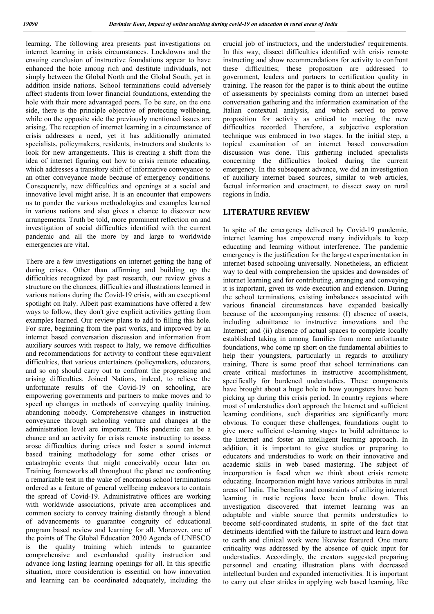learning. The following area presents past investigations on internet learning in crisis circumstances. Lockdowns and the ensuing conclusion of instructive foundations appear to have enhanced the hole among rich and destitute individuals, not simply between the Global North and the Global South, yet in addition inside nations. School terminations could adversely affect students from lower financial foundations, extending the hole with their more advantaged peers. To be sure, on the one side, there is the principle objective of protecting wellbeing, while on the opposite side the previously mentioned issues are arising. The reception of internet learning in a circumstance of crisis addresses a need, yet it has additionally animated specialists, policymakers, residents, instructors and students to look for new arrangements. This is creating a shift from the idea of internet figuring out how to crisis remote educating, which addresses a transitory shift of informative conveyance to an other conveyance mode because of emergency conditions. Consequently, new difficulties and openings at a social and innovative level might arise. It is an encounter that empowers us to ponder the various methodologies and examples learned in various nations and also gives a chance to discover new arrangements. Truth be told, more prominent reflection on and investigation of social difficulties identified with the current pandemic and all the more by and large to worldwide emergencies are vital.

There are a few investigations on internet getting the hang of during crises. Other than affirming and building up the difficulties recognized by past research, our review gives a structure on the chances, difficulties and illustrations learned in various nations during the Covid-19 crisis, with an exceptional spotlight on Italy. Albeit past examinations have offered a few ways to follow, they don't give explicit activities getting from examples learned. Our review plans to add to filling this hole. For sure, beginning from the past works, and improved by an internet based conversation discussion and information from auxiliary sources with respect to Italy, we remove difficulties and recommendations for activity to confront these equivalent difficulties, that various entertainers (policymakers, educators, and so on) should carry out to confront the progressing and arising difficulties. Joined Nations, indeed, to relieve the unfortunate results of the Covid-19 on schooling, are empowering governments and partners to make moves and to speed up changes in methods of conveying quality training, abandoning nobody. Comprehensive changes in instruction conveyance through schooling venture and changes at the administration level are important. This pandemic can be a chance and an activity for crisis remote instructing to assess arose difficulties during crises and foster a sound internet based training methodology for some other crises or catastrophic events that might conceivably occur later on. Training frameworks all throughout the planet are confronting a remarkable test in the wake of enormous school terminations ordered as a feature of general wellbeing endeavors to contain the spread of Covid-19. Administrative offices are working with worldwide associations, private area accomplices and common society to convey training distantly through a blend of advancements to guarantee congruity of educational program based review and learning for all. Moreover, one of the points of The Global Education 2030 Agenda of UNESCO is the quality training which intends to guarantee comprehensive and evenhanded quality instruction and advance long lasting learning openings for all. In this specific situation, more consideration is essential on how innovation and learning can be coordinated adequately, including the

crucial job of instructors, and the understudies' requirements. In this way, dissect difficulties identified with crisis remote instructing and show recommendations for activity to confront these difficulties; these proposition are addressed to government, leaders and partners to certification quality in training. The reason for the paper is to think about the outline of assessments by specialists coming from an internet based conversation gathering and the information examination of the Italian contextual analysis, and which served to prove proposition for activity as critical to meeting the new difficulties recorded. Therefore, a subjective exploration technique was embraced in two stages. In the initial step, a topical examination of an internet based conversation discussion was done. This gathering included specialists concerning the difficulties looked during the current emergency. In the subsequent advance, we did an investigation of auxiliary internet based sources, similar to web articles, factual information and enactment, to dissect sway on rural regions in India.

### **LITERATURE REVIEW**

In spite of the emergency delivered by Covid-19 pandemic, internet learning has empowered many individuals to keep educating and learning without interference. The pandemic emergency is the justification for the largest experimentation in internet based schooling universally. Nonetheless, an efficient way to deal with comprehension the upsides and downsides of internet learning and for contributing, arranging and conveying it is important, given its wide execution and extension. During the school terminations, existing imbalances associated with various financial circumstances have expanded basically because of the accompanying reasons: (I) absence of assets, including admittance to instructive innovations and the Internet; and (ii) absence of actual spaces to complete locally established taking in among families from more unfortunate foundations, who come up short on the fundamental abilities to help their youngsters, particularly in regards to auxiliary training. There is some proof that school terminations can create critical misfortunes in instructive accomplishment, specifically for burdened understudies. These components have brought about a huge hole in how youngsters have been picking up during this crisis period. In country regions where most of understudies don't approach the Internet and sufficient learning conditions, such disparities are significantly more obvious. To conquer these challenges, foundations ought to give more sufficient e-learning stages to build admittance to the Internet and foster an intelligent learning approach. In addition, it is important to give studios or preparing to educators and understudies to work on their innovative and academic skills in web based mastering. The subject of incorporation is focal when we think about crisis remote educating. Incorporation might have various attributes in rural areas of India. The benefits and constraints of utilizing internet learning in rustic regions have been broke down. This investigation discovered that internet learning was an adaptable and viable source that permits understudies to become self-coordinated students, in spite of the fact that detriments identified with the failure to instruct and learn down to earth and clinical work were likewise featured. One more criticality was addressed by the absence of quick input for understudies. Accordingly, the creators suggested preparing personnel and creating illustration plans with decreased intellectual burden and expanded interactivities. It is important to carry out clear strides in applying web based learning, like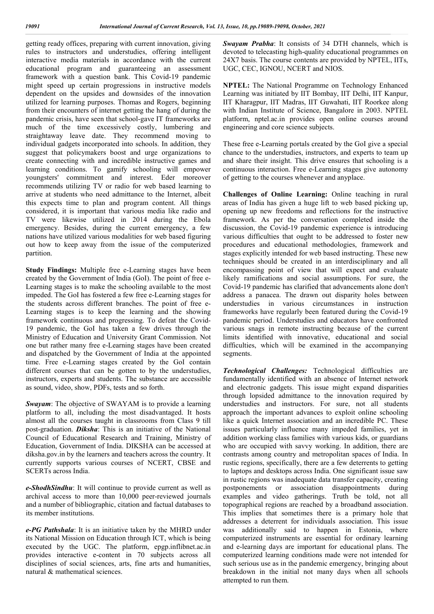getting ready offices, preparing with current innovation, giving rules to instructors and understudies, offering intelligent interactive media materials in accordance with the current educational program and guaranteeing an assessment framework with a question bank. This Covid-19 pandemic might speed up certain progressions in instructive models dependent on the upsides and downsides of the innovation utilized for learning purposes. Thomas and Rogers, beginning from their encounters of internet getting the hang of during the pandemic crisis, have seen that school-gave IT frameworks are much of the time excessively costly, lumbering and straightaway leave date. They recommend moving to individual gadgets incorporated into schools. In addition, they suggest that policymakers boost and urge organizations to create connecting with and incredible instructive games and learning conditions. To gamify schooling will empower youngsters' commitment and interest. Eder moreover recommends utilizing TV or radio for web based learning to arrive at students who need admittance to the Internet, albeit this expects time to plan and program content. All things considered, it is important that various media like radio and TV were likewise utilized in 2014 during the Ebola emergency. Besides, during the current emergency, a few nations have utilized various modalities for web based figuring out how to keep away from the issue of the computerized partition.

**Study Findings:** Multiple free e-Learning stages have been created by the Government of India (GoI). The point of free e-Learning stages is to make the schooling available to the most impeded. The GoI has fostered a few free e-Learning stages for the students across different branches. The point of free e-Learning stages is to keep the learning and the showing framework continuous and progressing. To defeat the Covid-19 pandemic, the GoI has taken a few drives through the Ministry of Education and University Grant Commission. Not one but rather many free e-Learning stages have been created and dispatched by the Government of India at the appointed time. Free e-Learning stages created by the GoI contain different courses that can be gotten to by the understudies, instructors, experts and students. The substance are accessible as sound, video, show, PDFs, tests and so forth.

*Swayam*: The objective of SWAYAM is to provide a learning platform to all, including the most disadvantaged. It hosts almost all the courses taught in classrooms from Class 9 till post-graduation. *Diksha*: This is an initiative of the National Council of Educational Research and Training, Ministry of Education, Government of India. DIKSHA can be accessed at diksha.gov.in by the learners and teachers across the country. It currently supports various courses of NCERT, CBSE and SCERTs across India.

*e-ShodhSindhu*: It will continue to provide current as well as archival access to more than 10,000 peer-reviewed journals and a number of bibliographic, citation and factual databases to its member institutions.

*e-PG Pathshala*: It is an initiative taken by the MHRD under its National Mission on Education through ICT, which is being executed by the UGC. The platform, epgp.inflibnet.ac.in provides interactive e-content in 70 subjects across all disciplines of social sciences, arts, fine arts and humanities, natural & mathematical sciences.

*Swayam Prabha*: It consists of 34 DTH channels, which is devoted to telecasting high-quality educational programmes on 24X7 basis. The course contents are provided by NPTEL, IITs, UGC, CEC, IGNOU, NCERT and NIOS.

**NPTEL:** The National Programme on Technology Enhanced Learning was initiated by IIT Bombay, IIT Delhi, IIT Kanpur, IIT Kharagpur, IIT Madras, IIT Guwahati, IIT Roorkee along with Indian Institute of Science, Bangalore in 2003. NPTEL platform, nptel.ac.in provides open online courses around engineering and core science subjects.

These free e-Learning portals created by the GoI give a special chance to the understudies, instructors, and experts to team up and share their insight. This drive ensures that schooling is a continuous interaction. Free e-Learning stages give autonomy of getting to the courses whenever and anyplace.

**Challenges of Online Learning:** Online teaching in rural areas of India has given a huge lift to web based picking up, opening up new freedoms and reflections for the instructive framework. As per the conversation completed inside the discussion, the Covid-19 pandemic experience is introducing various difficulties that ought to be addressed to foster new procedures and educational methodologies, framework and stages explicitly intended for web based instructing. These new techniques should be created in an interdisciplinary and all encompassing point of view that will expect and evaluate likely ramifications and social assumptions. For sure, the Covid-19 pandemic has clarified that advancements alone don't address a panacea. The drawn out disparity holes between understudies in various circumstances in instruction frameworks have regularly been featured during the Covid-19 pandemic period. Understudies and educators have confronted various snags in remote instructing because of the current limits identified with innovative, educational and social difficulties, which will be examined in the accompanying segments.

*Technological Challenges:* Technological difficulties are fundamentally identified with an absence of Internet network and electronic gadgets. This issue might expand disparities through lopsided admittance to the innovation required by understudies and instructors. For sure, not all students approach the important advances to exploit online schooling like a quick Internet association and an incredible PC. These issues particularly influence many impeded families, yet in addition working class families with various kids, or guardians who are occupied with savvy working. In addition, there are contrasts among country and metropolitan spaces of India. In rustic regions, specifically, there are a few deterrents to getting to laptops and desktops across India. One significant issue saw in rustic regions was inadequate data transfer capacity, creating postponements or association disappointments during examples and video gatherings. Truth be told, not all topographical regions are reached by a broadband association. This implies that sometimes there is a primary hole that addresses a deterrent for individuals association. This issue was additionally said to happen in Estonia, where computerized instruments are essential for ordinary learning and e-learning days are important for educational plans. The computerized learning conditions made were not intended for such serious use as in the pandemic emergency, bringing about breakdown in the initial not many days when all schools attempted to run them.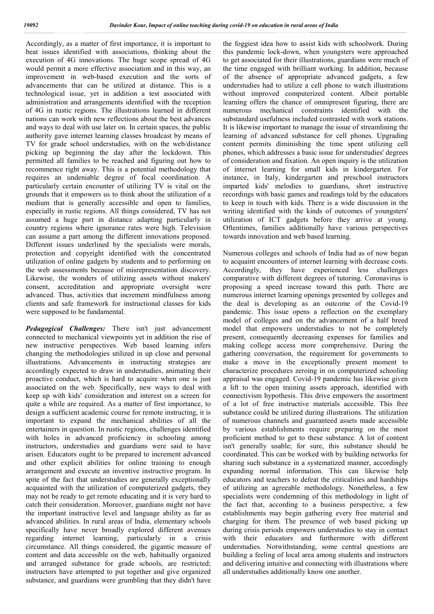Accordingly, as a matter of first importance, it is important to beat issues identified with associations, thinking about the execution of 4G innovations. The huge scope spread of 4G would permit a more effective association and in this way, an improvement in web-based execution and the sorts of advancements that can be utilized at distance. This is a technological issue, yet in addition a test associated with administration and arrangements identified with the reception of 4G in rustic regions. The illustrations learned in different nations can work with new reflections about the best advances and ways to deal with use later on. In certain spaces, the public authority gave internet learning classes broadcast by means of TV for grade school understudies, with on the web/distance picking up beginning the day after the lockdown. This permitted all families to be reached and figuring out how to recommence right away. This is a potential methodology that requires an undeniable degree of focal coordination. A particularly certain encounter of utilizing TV is vital on the grounds that it empowers us to think about the utilization of a medium that is generally accessible and open to families, especially in rustic regions. All things considered, TV has not assumed a huge part in distance adapting particularly in country regions where ignorance rates were high. Television can assume a part among the different innovations proposed. Different issues underlined by the specialists were morals, protection and copyright identified with the concentrated utilization of online gadgets by students and to performing on the web assessments because of misrepresentation discovery. Likewise, the wonders of utilizing assets without makers' consent, accreditation and appropriate oversight were advanced. Thus, activities that increment mindfulness among clients and safe framework for instructional classes for kids were supposed to be fundamental.

*Pedagogical Challenges:* There isn't just advancement connected to mechanical viewpoints yet in addition the rise of new instructive perspectives. Web based learning infers changing the methodologies utilized in up close and personal illustrations. Advancements in instructing strategies are accordingly expected to draw in understudies, animating their proactive conduct, which is hard to acquire when one is just associated on the web. Specifically, new ways to deal with keep up with kids' consideration and interest on a screen for quite a while are required. As a matter of first importance, to design a sufficient academic course for remote instructing, it is important to expand the mechanical abilities of all the entertainers in question. In rustic regions, challenges identified with holes in advanced proficiency in schooling among instructors, understudies and guardians were said to have arisen. Educators ought to be prepared to increment advanced and other explicit abilities for online training to enough arrangement and execute an inventive instructive program. In spite of the fact that understudies are generally exceptionally acquainted with the utilization of computerized gadgets, they may not be ready to get remote educating and it is very hard to catch their consideration. Moreover, guardians might not have the important instructive level and language ability as far as advanced abilities. In rural areas of India, elementary schools specifically have never broadly explored different avenues regarding internet learning, particularly in a crisis circumstance. All things considered, the gigantic measure of content and data accessible on the web, habitually organized and arranged substance for grade schools, are restricted; instructors have attempted to put together and give organized substance, and guardians were grumbling that they didn't have

the foggiest idea how to assist kids with schoolwork. During this pandemic lock-down, when youngsters were approached to get associated for their illustrations, guardians were much of the time engaged with brilliant working. In addition, because of the absence of appropriate advanced gadgets, a few understudies had to utilize a cell phone to watch illustrations without improved computerized content. Albeit portable learning offers the chance of omnipresent figuring, there are numerous mechanical constraints identified with the substandard usefulness included contrasted with work stations. It is likewise important to manage the issue of streamlining the learning of advanced substance for cell phones. Upgrading content permits diminishing the time spent utilizing cell phones, which addresses a basic issue for understudies' degrees of consideration and fixation. An open inquiry is the utilization of internet learning for small kids in kindergarten. For instance, in Italy, kindergarten and preschool instructors imparted kids' melodies to guardians, short instructive recordings with basic games and readings told by the educators to keep in touch with kids. There is a wide discussion in the writing identified with the kinds of outcomes of youngsters' utilization of ICT gadgets before they arrive at young. Oftentimes, families additionally have various perspectives towards innovation and web based learning.

Numerous colleges and schools of India had as of now began to acquaint encounters of internet learning with decrease costs. Accordingly, they have experienced less challenges comparative with different degrees of tutoring. Coronavirus is proposing a speed increase toward this path. There are numerous internet learning openings presented by colleges and the deal is developing as an outcome of the Covid-19 pandemic. This issue opens a reflection on the exemplary model of colleges and on the advancement of a half breed model that empowers understudies to not be completely present, consequently decreasing expenses for families and making college access more comprehensive. During the gathering conversation, the requirement for governments to make a move in the exceptionally present moment to characterize procedures zeroing in on computerized schooling appraisal was engaged. Covid-19 pandemic has likewise given a lift to the open training assets approach, identified with connectivism hypothesis. This drive empowers the assortment of a lot of free instructive materials accessible. This free substance could be utilized during illustrations. The utilization of numerous channels and guaranteed assets made accessible by various establishments require preparing on the most proficient method to get to these substance. A lot of content isn't generally usable; for sure, this substance should be coordinated. This can be worked with by building networks for sharing such substance in a systematized manner, accordingly expanding normal information. This can likewise help educators and teachers to defeat the criticalities and hardships of utilizing an agreeable methodology. Nonetheless, a few specialists were condemning of this methodology in light of the fact that, according to a business perspective, a few establishments may begin gathering every free material and charging for them. The presence of web based picking up during crisis periods empowers understudies to stay in contact with their educators and furthermore with different understudies. Notwithstanding, some central questions are building a feeling of local area among students and instructors and delivering intuitive and connecting with illustrations where all understudies additionally know one another.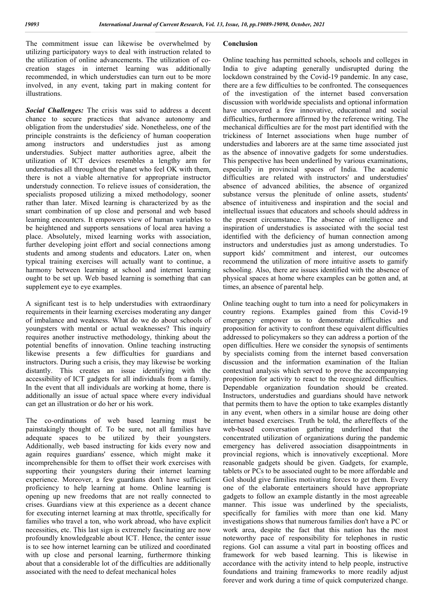The commitment issue can likewise be overwhelmed by utilizing participatory ways to deal with instruction related to the utilization of online advancements. The utilization of cocreation stages in internet learning was additionally recommended, in which understudies can turn out to be more involved, in any event, taking part in making content for illustrations.

*Social Challenges:* The crisis was said to address a decent chance to secure practices that advance autonomy and obligation from the understudies' side. Nonetheless, one of the principle constraints is the deficiency of human cooperation among instructors and understudies just as among understudies. Subject matter authorities agree, albeit the utilization of ICT devices resembles a lengthy arm for understudies all throughout the planet who feel OK with them, there is not a viable alternative for appropriate instructor understudy connection. To relieve issues of consideration, the specialists proposed utilizing a mixed methodology, sooner rather than later. Mixed learning is characterized by as the smart combination of up close and personal and web based learning encounters. It empowers view of human variables to be heightened and supports sensations of local area having a place. Absolutely, mixed learning works with association, further developing joint effort and social connections among students and among students and educators. Later on, when typical training exercises will actually want to continue, a harmony between learning at school and internet learning ought to be set up. Web based learning is something that can supplement eye to eye examples.

A significant test is to help understudies with extraordinary requirements in their learning exercises moderating any danger of imbalance and weakness. What do we do about schools of youngsters with mental or actual weaknesses? This inquiry requires another instructive methodology, thinking about the potential benefits of innovation. Online teaching instructing likewise presents a few difficulties for guardians and instructors. During such a crisis, they may likewise be working distantly. This creates an issue identifying with the accessibility of ICT gadgets for all individuals from a family. In the event that all individuals are working at home, there is additionally an issue of actual space where every individual can get an illustration or do her or his work.

The co-ordinations of web based learning must be painstakingly thought of. To be sure, not all families have adequate spaces to be utilized by their youngsters. Additionally, web based instructing for kids every now and again requires guardians' essence, which might make it incomprehensible for them to offset their work exercises with supporting their youngsters during their internet learning experience. Moreover, a few guardians don't have sufficient proficiency to help learning at home. Online learning is opening up new freedoms that are not really connected to crises. Guardians view at this experience as a decent chance for executing internet learning at max throttle, specifically for families who travel a ton, who work abroad, who have explicit necessities, etc. This last sign is extremely fascinating are now profoundly knowledgeable about ICT. Hence, the center issue is to see how internet learning can be utilized and coordinated with up close and personal learning, furthermore thinking about that a considerable lot of the difficulties are additionally associated with the need to defeat mechanical holes

### **Conclusion**

Online teaching has permitted schools, schools and colleges in India to give adapting generally undisrupted during the lockdown constrained by the Covid-19 pandemic. In any case, there are a few difficulties to be confronted. The consequences of the investigation of the internet based conversation discussion with worldwide specialists and optional information have uncovered a few innovative, educational and social difficulties, furthermore affirmed by the reference writing. The mechanical difficulties are for the most part identified with the trickiness of Internet associations when huge number of understudies and laborers are at the same time associated just as the absence of innovative gadgets for some understudies. This perspective has been underlined by various examinations, especially in provincial spaces of India. The academic difficulties are related with instructors' and understudies' absence of advanced abilities, the absence of organized substance versus the plenitude of online assets, students' absence of intuitiveness and inspiration and the social and intellectual issues that educators and schools should address in the present circumstance. The absence of intelligence and inspiration of understudies is associated with the social test identified with the deficiency of human connection among instructors and understudies just as among understudies. To support kids' commitment and interest, our outcomes recommend the utilization of more intuitive assets to gamify schooling. Also, there are issues identified with the absence of physical spaces at home where examples can be gotten and, at times, an absence of parental help.

Online teaching ought to turn into a need for policymakers in country regions. Examples gained from this Covid-19 emergency empower us to demonstrate difficulties and proposition for activity to confront these equivalent difficulties addressed to policymakers so they can address a portion of the open difficulties. Here we consider the synopsis of sentiments by specialists coming from the internet based conversation discussion and the information examination of the Italian contextual analysis which served to prove the accompanying proposition for activity to react to the recognized difficulties. Dependable organization foundation should be created. Instructors, understudies and guardians should have network that permits them to have the option to take examples distantly in any event, when others in a similar house are doing other internet based exercises. Truth be told, the aftereffects of the web-based conversation gathering underlined that the concentrated utilization of organizations during the pandemic emergency has delivered association disappointments in provincial regions, which is innovatively exceptional. More reasonable gadgets should be given. Gadgets, for example, tablets or PCs to be associated ought to be more affordable and GoI should give families motivating forces to get them. Every one of the elaborate entertainers should have appropriate gadgets to follow an example distantly in the most agreeable manner. This issue was underlined by the specialists, specifically for families with more than one kid. Many investigations shows that numerous families don't have a PC or work area, despite the fact that this nation has the most noteworthy pace of responsibility for telephones in rustic regions. GoI can assume a vital part in boosting offices and framework for web based learning. This is likewise in accordance with the activity intend to help people, instructive foundations and training frameworks to more readily adjust forever and work during a time of quick computerized change.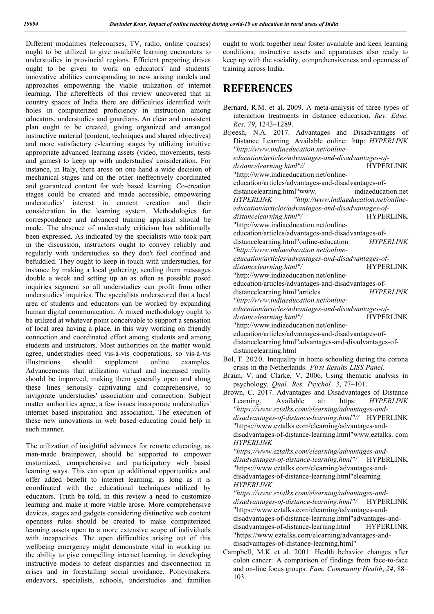Different modalities (telecourses, TV, radio, online courses) ought to be utilized to give available learning encounters to understudies in provincial regions. Efficient preparing drives ought to be given to work on educators' and students' innovative abilities corresponding to new arising models and approaches empowering the viable utilization of internet learning. The aftereffects of this review uncovered that in country spaces of India there are difficulties identified with holes in computerized proficiency in instruction among educators, understudies and guardians. An clear and consistent plan ought to be created, giving organized and arranged instructive material (content, techniques and shared objectives) and more satisfactory e-learning stages by utilizing intuitive appropriate advanced learning assets (video, movements, tests and games) to keep up with understudies' consideration. For instance, in Italy, there arose on one hand a wide decision of mechanical stages and on the other ineffectively coordinated and guaranteed content for web based learning. Co-creation stages could be created and made accessible, empowering interest in content creation and their consideration in the learning system. Methodologies for correspondence and advanced training appraisal should be made. The absence of understudy criticism has additionally been expressed. As indicated by the specialists who took part in the discussion, instructors ought to convey reliably and regularly with understudies so they don't feel confined and befuddled. They ought to keep in touch with understudies, for instance by making a local gathering, sending them messages double a week and setting up an as often as possible posed inquiries segment so all understudies can profit from other understudies' inquiries. The specialists underscored that a local area of students and educators can be worked by expanding human digital communication. A mixed methodology ought to be utilized at whatever point conceivable to support a sensation of local area having a place, in this way working on friendly connection and coordinated effort among students and among students and instructors. Most authorities on the matter would agree, understudies need vis-à-vis cooperations, so vis-à-vis illustrations should supplement online examples. Advancements that utilization virtual and increased reality should be improved, making them generally open and along these lines seriously captivating and comprehensive, to invigorate understudies' association and connection. Subject matter authorities agree, a few issues incorporate understudies' internet based inspiration and association. The execution of these new innovations in web based educating could help in such manner.

The utilization of insightful advances for remote educating, as man-made brainpower, should be supported to empower customized, comprehensive and participatory web based learning ways. This can open up additional opportunities and offer added benefit to internet learning, as long as it is coordinated with the educational techniques utilized by educators. Truth be told, in this review a need to customize learning and make it more viable arose. More comprehensive devices, stages and gadgets considering distinctive web content openness rules should be created to make computerized learning assets open to a more extensive scope of individuals with incapacities. The open difficulties arising out of this wellbeing emergency might demonstrate vital in working on the ability to give compelling internet learning, in developing instructive models to defeat disparities and disconnection in crises and in forestalling social avoidance. Policymakers, endeavors, specialists, schools, understudies and families ought to work together near foster available and keen learning conditions, instructive assets and apparatuses also ready to keep up with the sociality, comprehensiveness and openness of training across India.

## **REFERENCES**

- Bol, T. 2020. Inequality in home schooling during the corona crisis in the Netherlands. *First Results LISS Panel.*
- Braun, V. and Clarke, V. 2006, Using thematic analysis in psychology. *Qual. Res. Psychol. 3*, 77–101.
- Brown, C. 2017. Advantages and Disadvantages of Distance Learning. Available at: https: *HYPERLINK "https://www.eztalks.com/elearning/advantages-anddisadvantages-of-distance-learning.html"//* HYPERLINK "https://www.eztalks.com/elearning/advantages-anddisadvantages-of-distance-learning.html"www.eztalks. com *HYPERLINK* 
	- *"https://www.eztalks.com/elearning/advantages-anddisadvantages-of-distance-learning.html"/* HYPERLINK "https://www.eztalks.com/elearning/advantages-anddisadvantages-of-distance-learning.html"elearning *HYPERLINK*
	- *"https://www.eztalks.com/elearning/advantages-anddisadvantages-of-distance-learning.html"/* HYPERLINK "https://www.eztalks.com/elearning/advantages-anddisadvantages-of-distance-learning.html"advantages-anddisadvantages-of-distance-learning.html HYPERLINK "https://www.eztalks.com/elearning/advantages-anddisadvantages-of-distance-learning.html"
- Campbell, M.K et al. 2001. Health behavior changes after colon cancer: A comparison of findings from face-to-face and on-line focus groups. *Fam. Community Health*, *24*, 88– 103.

Bernard, R.M. et al. 2009. A meta-analysis of three types of interaction treatments in distance education. *Rev. Educ. Res. 79*, 1243–1289. Bijeesh, N.A. 2017. Advantages and Disadvantages of Distance Learning. Available online: http: *HYPERLINK "http://www.indiaeducation.net/onlineeducation/articles/advantages-and-disadvantages-of* $distance learning.html''$ // "http://www.indiaeducation.net/onlineeducation/articles/advantages-and-disadvantages-ofdistancelearning.html"www. indiaeducation.net *HYPERLINK "http://www.indiaeducation.net/onlineeducation/articles/advantages-and-disadvantages-of*distancelearning.html"/
HYPERLINK "http://www.indiaeducation.net/onlineeducation/articles/advantages-and-disadvantages-ofdistancelearning.html"online-education *HYPERLINK "http://www.indiaeducation.net/onlineeducation/articles/advantages-and-disadvantages-of* $distance learning.html''/$ "http://www.indiaeducation.net/onlineeducation/articles/advantages-and-disadvantages-of $distance$ learning.html"articles *"http://www.indiaeducation.net/onlineeducation/articles/advantages-and-disadvantages-of*distancelearning.html"/
HYPERLINK "http://www.indiaeducation.net/onlineeducation/articles/advantages-and-disadvantages-ofdistancelearning.html"advantages-and-disadvantages-ofdistancelearning.html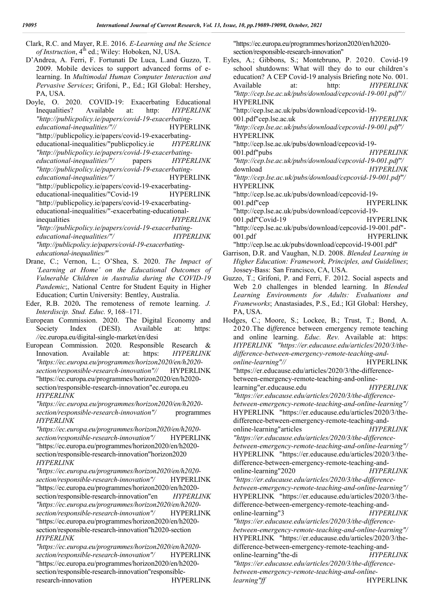Clark, R.C. and Mayer, R.E. 2016. *E-Learning and the Science* of Instruction, 4<sup>th</sup> ed.; Wiley: Hoboken, NJ, USA.

- D'Andrea, A. Ferri, F. Fortunati De Luca, L.and Guzzo, T. 2009. Mobile devices to support advanced forms of elearning. In *Multimodal Human Computer Interaction and Pervasive Services*; Grifoni, P., Ed.; IGI Global: Hershey, PA, USA.
- Doyle, O. 2020. COVID-19: Exacerbating Educational Inequalities? Available at: http: *HYPERLINK "http://publicpolicy.ie/papers/covid-19-exacerbating*educational-inequalities/"// HYPERLINK "http://publicpolicy.ie/papers/covid-19-exacerbatingeducational-inequalities/"publicpolicy.ie *HYPERLINK "http://publicpolicy.ie/papers/covid-19-exacerbatingeducational-inequalities/"/* papers *HYPERLINK "http://publicpolicy.ie/papers/covid-19-exacerbatingeducational-inequalities/"/* HYPERLINK "http://publicpolicy.ie/papers/covid-19-exacerbatingeducational-inequalities/"Covid-19 HYPERLINK "http://publicpolicy.ie/papers/covid-19-exacerbatingeducational-inequalities/"-exacerbating-educationalinequalities *HYPERLINK "http://publicpolicy.ie/papers/covid-19-exacerbatingeducational-inequalities/"/ HYPERLINK "http://publicpolicy.ie/papers/covid-19-exacerbatingeducational-inequalities/"*
- Drane, C.; Vernon, L.; O'Shea, S. 2020. *The Impact of 'Learning at Home' on the Educational Outcomes of Vulnerable Children in Australia during the COVID-19 Pandemic*;, National Centre for Student Equity in Higher Education; Curtin University: Bentley, Australia.
- Eder, R.B. 2020**.** The remoteness of remote learning. *J. Interdiscip. Stud. Educ. 9*, 168–171.
- European Commission. 2020. The Digital Economy and Society Index (DESI). Available at: https: *//*ec.europa.eu*/*digital-single-market*/*en*/*desi
- European Commission. 2020. Responsible Research & Innovation. Available at: https: *HYPERLINK "https://ec.europa.eu/programmes/horizon2020/en/h2020 section/responsible-research-innovation"//* HYPERLINK "https://ec.europa.eu/programmes/horizon2020/en/h2020 section/responsible-research-innovation"ec.europa.eu *HYPERLINK*

*"https://ec.europa.eu/programmes/horizon2020/en/h2020 section/responsible-research-innovation"/* programmes *HYPERLINK* 

*"https://ec.europa.eu/programmes/horizon2020/en/h2020 section/responsible-research-innovation"/* HYPERLINK "https://ec.europa.eu/programmes/horizon2020/en/h2020 section/responsible-research-innovation"horizon2020 *HYPERLINK* 

*"https://ec.europa.eu/programmes/horizon2020/en/h2020 section/responsible-research-innovation"/* HYPERLINK "https://ec.europa.eu/programmes/horizon2020/en/h2020 section/responsible-research-innovation"en *HYPERLINK "https://ec.europa.eu/programmes/horizon2020/en/h2020 section/responsible-research-innovation"/* HYPERLINK "https://ec.europa.eu/programmes/horizon2020/en/h2020 section/responsible-research-innovation"h2020-section *HYPERLINK* 

*"https://ec.europa.eu/programmes/horizon2020/en/h2020 section/responsible-research-innovation"/* HYPERLINK "https://ec.europa.eu/programmes/horizon2020/en/h2020 section/responsible-research-innovation"responsibleresearch-innovation HYPERLINK

"https://ec.europa.eu/programmes/horizon2020/en/h2020 section/responsible-research-innovation"

- Eyles, A.; Gibbons, S.; Montebruno, P. 2020. Covid-19 school shutdowns: What will they do to our children's education? A CEP Covid-19 analysis Briefing note No. 001. Available at: http: *HYPERLINK "http://cep.lse.ac.uk/pubs/download/cepcovid-19-001.pdf"//* HYPERLINK "http://cep.lse.ac.uk/pubs/download/cepcovid-19- 001.pdf"cep.lse.ac.uk *HYPERLINK "http://cep.lse.ac.uk/pubs/download/cepcovid-19-001.pdf"/* HYPERLINK "http://cep.lse.ac.uk/pubs/download/cepcovid-19- 001.pdf"pubs *HYPERLINK "http://cep.lse.ac.uk/pubs/download/cepcovid-19-001.pdf"/* download *HYPERLINK "http://cep.lse.ac.uk/pubs/download/cepcovid-19-001.pdf"/* HYPERLINK "http://cep.lse.ac.uk/pubs/download/cepcovid-19- 001.pdf"cep HYPERLINK "http://cep.lse.ac.uk/pubs/download/cepcovid-19- 001.pdf"Covid-19 HYPERLINK "http://cep.lse.ac.uk/pubs/download/cepcovid-19-001.pdf"- 001.pdf HYPERLINK "http://cep.lse.ac.uk/pubs/download/cepcovid-19-001.pdf" Garrison, D.R. and Vaughan, N.D. 2008. *Blended Learning in*
- *Higher Education: Framework, Principles, and Guidelines*; Jossey-Bass: San Francisco, CA, USA. Guzzo, T.; Grifoni, P. and Ferri, F. 2012. Social aspects and
- Web 2.0 challenges in blended learning. In *Blended Learning Environments for Adults: Evaluations and Frameworks*; Anastasiades, P.S., Ed.; IGI Global: Hershey, PA, USA.

Hodges, C.; Moore, S.; Lockee, B.; Trust, T.; Bond, A. 2020.The di*ff*erence between emergency remote teaching and online learning. *Educ. Rev.* Available at: https: *HYPERLINK "https://er.educause.edu/articles/2020/3/thedifference-between-emergency-remote-teaching-andonline-learning"*// HYPERLINK "https://er.educause.edu/articles/2020/3/the-differencebetween-emergency-remote-teaching-and-onlinelearning"er.educause.edu *HYPERLINK "https://er.educause.edu/articles/2020/3/the-differencebetween-emergency-remote-teaching-and-online-learning"/* HYPERLINK "https://er.educause.edu/articles/2020/3/thedifference-between-emergency-remote-teaching-andonline-learning"articles *HYPERLINK "https://er.educause.edu/articles/2020/3/the-differencebetween-emergency-remote-teaching-and-online-learning"/* HYPERLINK "https://er.educause.edu/articles/2020/3/thedifference-between-emergency-remote-teaching-andonline-learning"2020 *HYPERLINK "https://er.educause.edu/articles/2020/3/the-differencebetween-emergency-remote-teaching-and-online-learning"/* HYPERLINK "https://er.educause.edu/articles/2020/3/thedifference-between-emergency-remote-teaching-andonline-learning"3 *HYPERLINK "https://er.educause.edu/articles/2020/3/the-differencebetween-emergency-remote-teaching-and-online-learning"/* HYPERLINK "https://er.educause.edu/articles/2020/3/thedifference-between-emergency-remote-teaching-andonline-learning"the-di *HYPERLINK "https://er.educause.edu/articles/2020/3/the-differencebetween-emergency-remote-teaching-and-onlinelearning"ff* HYPERLINK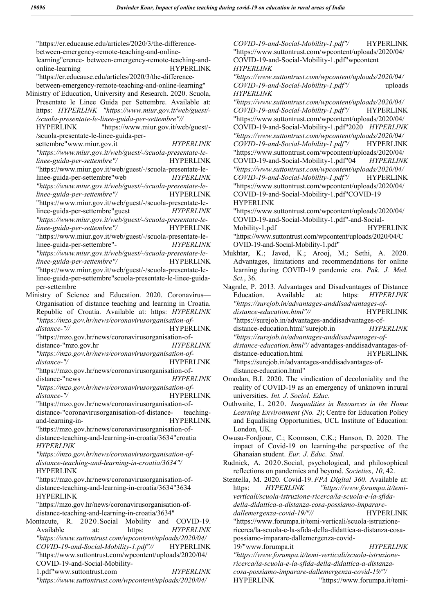"https://er.educause.edu/articles/2020/3/the-differencebetween-emergency-remote-teaching-and-onlinelearning"erence- between-emergency-remote-teaching-andonline-learning HYPERLINK "https://er.educause.edu/articles/2020/3/the-differencebetween-emergency-remote-teaching-and-online-learning" Ministry of Education, University and Research. 2020. Scuola, Presentate le Linee Guida per Settembre. Available at: https: *HYPERLINK "https://www.miur.gov.it/web/guest/- /scuola-presentate-le-linee-guida-per-settembre"//* HYPERLINK "https://www.miur.gov.it/web/guest/- /scuola-presentate-le-linee-guida-persettembre"www.miur.gov.it *HYPERLINK "https://www.miur.gov.it/web/guest/-/scuola-presentate-lelinee-guida-per-settembre"/* HYPERLINK "https://www.miur.gov.it/web/guest/-/scuola-presentate-lelinee-guida-per-settembre"web *HYPERLINK "https://www.miur.gov.it/web/guest/-/scuola-presentate-lelinee-guida-per-settembre"/* HYPERLINK "https://www.miur.gov.it/web/guest/-/scuola-presentate-lelinee-guida-per-settembre"guest *HYPERLINK "https://www.miur.gov.it/web/guest/-/scuola-presentate-lelinee-guida-per-settembre"/* HYPERLINK "https://www.miur.gov.it/web/guest/-/scuola-presentate-lelinee-guida-per-settembre"- *HYPERLINK "https://www.miur.gov.it/web/guest/-/scuola-presentate-lelinee-guida-per-settembre"/* HYPERLINK "https://www.miur.gov.it/web/guest/-/scuola-presentate-lelinee-guida-per-settembre"scuola-presentate-le-linee-guidaper-settembre Ministry of Science and Education. 2020. Coronavirus— Organisation of distance teaching and learning in Croatia. Republic of Croatia. Available at: https: *HYPERLINK "https://mzo.gov.hr/news/coronavirusorganisation-ofdistance-"//* HYPERLINK "https://mzo.gov.hr/news/coronavirusorganisation-ofdistance-"mzo.gov.hr *HYPERLINK "https://mzo.gov.hr/news/coronavirusorganisation-ofdistance-"/* HYPERLINK "https://mzo.gov.hr/news/coronavirusorganisation-ofdistance-"news *HYPERLINK "https://mzo.gov.hr/news/coronavirusorganisation-ofdistance-"/* HYPERLINK "https://mzo.gov.hr/news/coronavirusorganisation-ofdistance-"coronavirusorganisation-of-distance- teachingand-learning-in- HYPERLINK "https://mzo.gov.hr/news/coronavirusorganisation-ofdistance-teaching-and-learning-in-croatia/3634"croatia *HYPERLINK "https://mzo.gov.hr/news/coronavirusorganisation-ofdistance-teaching-and-learning-in-croatia/3634"/* HYPERLINK "https://mzo.gov.hr/news/coronavirusorganisation-ofdistance-teaching-and-learning-in-croatia/3634"3634 HYPERLINK "https://mzo.gov.hr/news/coronavirusorganisation-ofdistance-teaching-and-learning-in-croatia/3634" Montacute, R. 2020.Social Mobility and COVID-19. Available at: https: *HYPERLINK "https://www.suttontrust.com/wpcontent/uploads/2020/04/ COVID-19-and-Social-Mobility-1.pdf"//* HYPERLINK "https://www.suttontrust.com/wpcontent/uploads/2020/04/ COVID-19-and-Social-Mobility-1.pdf"www.suttontrust.com *HYPERLINK "https://www.suttontrust.com/wpcontent/uploads/2020/04/*

*COVID-19-and-Social-Mobility-1.pdf"/* HYPERLINK "https://www.suttontrust.com/wpcontent/uploads/2020/04/ COVID-19-and-Social-Mobility-1.pdf"wpcontent *HYPERLINK* 

*"https://www.suttontrust.com/wpcontent/uploads/2020/04/ COVID-19-and-Social-Mobility-1.pdf"/* uploads *HYPERLINK* 

*"https://www.suttontrust.com/wpcontent/uploads/2020/04/ COVID-19-and-Social-Mobility-1.pdf"/* HYPERLINK "https://www.suttontrust.com/wpcontent/uploads/2020/04/ COVID-19-and-Social-Mobility-1.pdf"2020 *HYPERLINK "https://www.suttontrust.com/wpcontent/uploads/2020/04/ COVID-19-and-Social-Mobility-1.pdf"/* HYPERLINK "https://www.suttontrust.com/wpcontent/uploads/2020/04/ COVID-19-and-Social-Mobility-1.pdf"04 *HYPERLINK "https://www.suttontrust.com/wpcontent/uploads/2020/04/ COVID-19-and-Social-Mobility-1.pdf"/* HYPERLINK "https://www.suttontrust.com/wpcontent/uploads/2020/04/ COVID-19-and-Social-Mobility-1.pdf"COVID-19 HYPERLINK "https://www.suttontrust.com/wpcontent/uploads/2020/04/

COVID-19-and-Social-Mobility-1.pdf"-and-Social-Mobility-1.pdf "https://www.suttontrust.com/wpcontent/uploads/2020/04/C OVID-19-and-Social-Mobility-1.pdf"

Mukhtar, K.; Javed, K.; Arooj, M.; Sethi, A. 2020. Advantages, limitations and recommendations for online learning during COVID-19 pandemic era. *Pak. J. Med. Sci.*, 36.

Nagrale, P. 2013. Advantages and Disadvantages of Distance Education. Available at: https: *HYPERLINK "https://surejob.in/advantages-anddisadvantages-of*distance-education.html"// HYPERLINK "https://surejob.in/advantages-anddisadvantages-ofdistance-education.html"surejob.in *HYPERLINK "https://surejob.in/advantages-anddisadvantages-ofdistance-education.html"/* advantages-anddisadvantages-ofdistance-education.html HYPERLINK "https://surejob.in/advantages-anddisadvantages-ofdistance-education.html"

- Omodan, B.I. 2020. The vindication of decoloniality and the reality of COVID-19 as an emergency of unknown in rural universities. *Int. J. Sociol. Educ.*
- Outhwaite, L. 2020. *Inequalities in Resources in the Home Learning Environment (No. 2)*; Centre for Education Policy and Equalising Opportunities, UCL Institute of Education: London, UK.
- Owusu-Fordjour, C.; Koomson, C.K.; Hanson, D. 2020. The impact of Covid-19 on learning-the perspective of the Ghanaian student. *Eur. J. Educ. Stud.*
- Rudnick, A. 2020.Social, psychological, and philosophical reflections on pandemics and beyond. *Societies*, *10*, 42.

Stentella, M. 2020. Covid-19. *FPA Digital 360*. Available at: https: *HYPERLINK "https://www.forumpa.it/temiverticali/scuola-istruzione-ricerca/la-scuola-e-la-sfidadella-didattica-a-distanza-cosa-possiamo-impararedallemergenza-covid-19/"//* HYPERLINK "https://www.forumpa.it/temi-verticali/scuola-istruzionericerca/la-scuola-e-la-sfida-della-didattica-a-distanza-cosapossiamo-imparare-dallemergenza-covid-19/"www.forumpa.it *HYPERLINK "https://www.forumpa.it/temi-verticali/scuola-istruzionericerca/la-scuola-e-la-sfida-della-didattica-a-distanza-*

*cosa-possiamo-imparare-dallemergenza-covid-19/"/* HYPERLINK "https://www.forumpa.it/temi-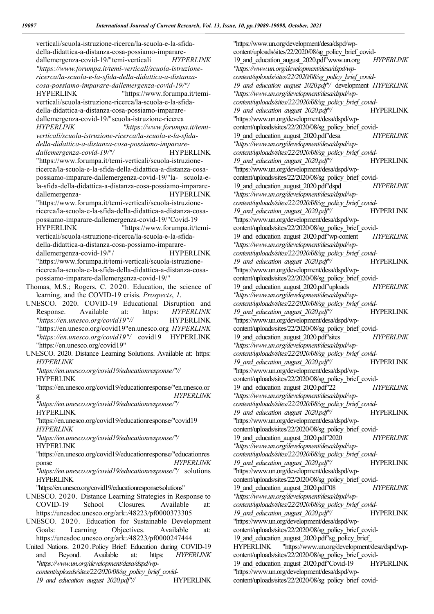verticali/scuola-istruzione-ricerca/la-scuola-e-la-sfidadella-didattica-a-distanza-cosa-possiamo-impararedallemergenza-covid-19/"temi-verticali *HYPERLINK "https://www.forumpa.it/temi-verticali/scuola-istruzionericerca/la-scuola-e-la-sfida-della-didattica-a-distanzacosa-possiamo-imparare-dallemergenza-covid-19/"/* HYPERLINK "https://www.forumpa.it/temiverticali/scuola-istruzione-ricerca/la-scuola-e-la-sfidadella-didattica-a-distanza-cosa-possiamo-impararedallemergenza-covid-19/"scuola-istruzione-ricerca *HYPERLINK "https://www.forumpa.it/temiverticali/scuola-istruzione-ricerca/la-scuola-e-la-sfidadella-didattica-a-distanza-cosa-possiamo-imparare* $d$ *allemergenza-covid-19/"/* "https://www.forumpa.it/temi-verticali/scuola-istruzionericerca/la-scuola-e-la-sfida-della-didattica-a-distanza-cosapossiamo-imparare-dallemergenza-covid-19/"la- scuola-ela-sfida-della-didattica-a-distanza-cosa-possiamo-impararedallemergenza- HYPERLINK "https://www.forumpa.it/temi-verticali/scuola-istruzionericerca/la-scuola-e-la-sfida-della-didattica-a-distanza-cosapossiamo-imparare-dallemergenza-covid-19/"Covid-19 HYPERLINK "https://www.forumpa.it/temiverticali/scuola-istruzione-ricerca/la-scuola-e-la-sfidadella-didattica-a-distanza-cosa-possiamo-impararedallemergenza-covid-19/"/ HYPERLINK "https://www.forumpa.it/temi-verticali/scuola-istruzionericerca/la-scuola-e-la-sfida-della-didattica-a-distanza-cosapossiamo-imparare-dallemergenza-covid-19/" Thomas, M.S.; Rogers, C. 2020. Education, the science of learning, and the COVID-19 crisis. *Prospects*, *1*. UNESCO. 2020. COVID-19 Educational Disruption and Response. Available at: https: *HYPERLINK "https://en.unesco.org/covid19"//* HYPERLINK "https://en.unesco.org/covid19"en.unesco.org *HYPERLINK "https://en.unesco.org/covid19"/* covid19 HYPERLINK "https://en.unesco.org/covid19" UNESCO. 2020. Distance Learning Solutions. Available at: https: *HYPERLINK "https://en.unesco.org/covid19/educationresponse/"//*

HYPERLINK

"https://en.unesco.org/covid19/educationresponse/"en.unesco.or g *HYPERLINK* 

*"https://en.unesco.org/covid19/educationresponse/"/* HYPERLINK

"https://en.unesco.org/covid19/educationresponse/"covid19 *HYPERLINK* 

*"https://en.unesco.org/covid19/educationresponse/"/* HYPERLINK

"https://en.unesco.org/covid19/educationresponse/"educationres ponse *HYPERLINK* 

*"https://en.unesco.org/covid19/educationresponse/"/* solutions HYPERLINK

"https://en.unesco.org/covid19/educationresponse/solutions"

UNESCO. 2020. Distance Learning Strategies in Response to COVID-19 School Closures. Available at: https://unesdoc.unesco.org/ark:*/*48223*/*pf0000373305

UNESCO. 2020. Education for Sustainable Development Goals: Learning Objectives. Available https://unesdoc.unesco.org/ark:*/*48223*/*pf0000247444

United Nations. 2020.Policy Brief: Education during COVID-19 and Beyond. Available at: https: *HYPERLINK "https://www.un.org/development/desa/dspd/wpcontent/uploads/sites/22/2020/08/sg\_policy\_brief\_covid-*19 and education august 2020.pdf"// **HYPERLINK** 

content/uploads/sites/22/2020/08/sg\_policy\_brief\_covid-19\_and\_education\_august\_2020.pdf"www.un.org *HYPERLINK "https://www.un.org/development/desa/dspd/wpcontent/uploads/sites/22/2020/08/sg\_policy\_brief\_covid-19\_and\_education\_august\_2020.pdf"/* development *HYPERLINK "https://www.un.org/development/desa/dspd/wpcontent/uploads/sites/22/2020/08/sg\_policy\_brief\_covid-*19\_and\_education\_august\_2020.pdf"/ HYPERLINK "https://www.un.org/development/desa/dspd/wpcontent/uploads/sites/22/2020/08/sg\_policy\_brief\_covid-19\_and\_education\_august\_2020.pdf"desa *HYPERLINK "https://www.un.org/development/desa/dspd/wpcontent/uploads/sites/22/2020/08/sg\_policy\_brief\_covid-*19 and education august  $2020.pdf''/$  HYPERLINK "https://www.un.org/development/desa/dspd/wpcontent/uploads/sites/22/2020/08/sg\_policy\_brief\_covid-19\_and\_education\_august\_2020.pdf"dspd *HYPERLINK "https://www.un.org/development/desa/dspd/wpcontent/uploads/sites/22/2020/08/sg\_policy\_brief\_covid-*19 and education august 2020.pdf"/ HYPERLINK "https://www.un.org/development/desa/dspd/wpcontent/uploads/sites/22/2020/08/sg\_policy\_brief\_covid-19\_and\_education\_august\_2020.pdf"wp-content *HYPERLINK "https://www.un.org/development/desa/dspd/wpcontent/uploads/sites/22/2020/08/sg\_policy\_brief\_covid-*19 and education august  $2020.pdf''/$  HYPERLINK "https://www.un.org/development/desa/dspd/wpcontent/uploads/sites/22/2020/08/sg\_policy\_brief\_covid-19\_and\_education\_august\_2020.pdf"uploads *HYPERLINK "https://www.un.org/development/desa/dspd/wpcontent/uploads/sites/22/2020/08/sg\_policy\_brief\_covid-*19\_and\_education\_august\_2020.pdf"/ HYPERLINK "https://www.un.org/development/desa/dspd/wpcontent/uploads/sites/22/2020/08/sg\_policy\_brief\_covid-19\_and\_education\_august\_2020.pdf"sites *HYPERLINK "https://www.un.org/development/desa/dspd/wpcontent/uploads/sites/22/2020/08/sg\_policy\_brief\_covid-*19 and education august 2020.pdf"/ HYPERLINK "https://www.un.org/development/desa/dspd/wpcontent/uploads/sites/22/2020/08/sg\_policy\_brief\_covid-19\_and\_education\_august\_2020.pdf"22 *HYPERLINK "https://www.un.org/development/desa/dspd/wpcontent/uploads/sites/22/2020/08/sg\_policy\_brief\_covid-*19 and education august 2020.pdf"/ HYPERLINK "https://www.un.org/development/desa/dspd/wpcontent/uploads/sites/22/2020/08/sg\_policy\_brief\_covid-19\_and\_education\_august\_2020.pdf"2020 *HYPERLINK "https://www.un.org/development/desa/dspd/wpcontent/uploads/sites/22/2020/08/sg\_policy\_brief\_covid-*19 and education august 2020.pdf"/ HYPERLINK "https://www.un.org/development/desa/dspd/wpcontent/uploads/sites/22/2020/08/sg\_policy\_brief\_covid-19\_and\_education\_august\_2020.pdf"08 *HYPERLINK "https://www.un.org/development/desa/dspd/wpcontent/uploads/sites/22/2020/08/sg\_policy\_brief\_covid-*19 and education august  $2020.pdf''/$  HYPERLINK "https://www.un.org/development/desa/dspd/wpcontent/uploads/sites/22/2020/08/sg\_policy\_brief\_covid-19 and education august 2020.pdf"sg\_policy\_brief HYPERLINK "https://www.un.org/development/desa/dspd/wpcontent/uploads/sites/22/2020/08/sg\_policy\_brief\_covid-19 and education august 2020.pdf"Covid-19 HYPERLINK "https://www.un.org/development/desa/dspd/wp-

content/uploads/sites/22/2020/08/sg\_policy\_brief\_covid-

"https://www.un.org/development/desa/dspd/wp-